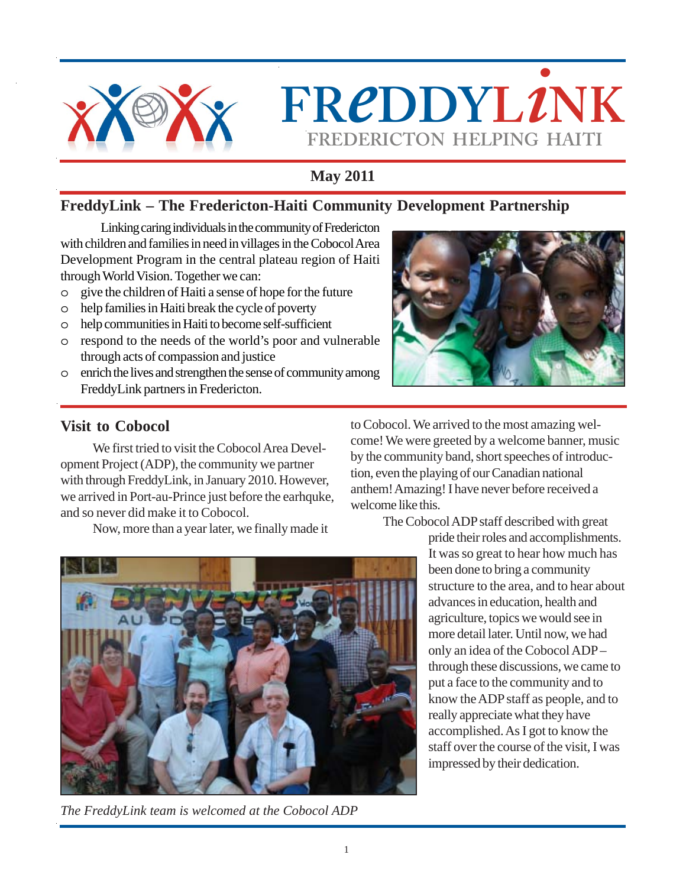

 $FREDDYL2NK$ **FREDERICTON HELPING HAITI**

# **May 2011**

### **FreddyLink – The Fredericton-Haiti Community Development Partnership**

Linking caring individuals in the community of Fredericton with children and families in need in villages in the Cobocol Area Development Program in the central plateau region of Haiti through World Vision. Together we can:

- o give the children of Haiti a sense of hope for the future
- o help families in Haiti break the cycle of poverty
- o help communities in Haiti to become self-sufficient
- o respond to the needs of the world's poor and vulnerable through acts of compassion and justice
- o enrich the lives and strengthen the sense of community among FreddyLink partners in Fredericton.



## **Visit to Cobocol**

We first tried to visit the Cobocol Area Development Project (ADP), the community we partner with through FreddyLink, in January 2010. However, we arrived in Port-au-Prince just before the earhquke, and so never did make it to Cobocol.

Now, more than a year later, we finally made it

to Cobocol. We arrived to the most amazing welcome! We were greeted by a welcome banner, music by the community band, short speeches of introduction, even the playing of our Canadian national anthem! Amazing! I have never before received a welcome like this.

The Cobocol ADP staff described with great



*The FreddyLink team is welcomed at the Cobocol ADP*

pride their roles and accomplishments. It was so great to hear how much has been done to bring a community structure to the area, and to hear about advances in education, health and agriculture, topics we would see in more detail later. Until now, we had only an idea of the Cobocol ADP – through these discussions, we came to put a face to the community and to know the ADP staff as people, and to really appreciate what they have accomplished. As I got to know the staff over the course of the visit, I was impressed by their dedication.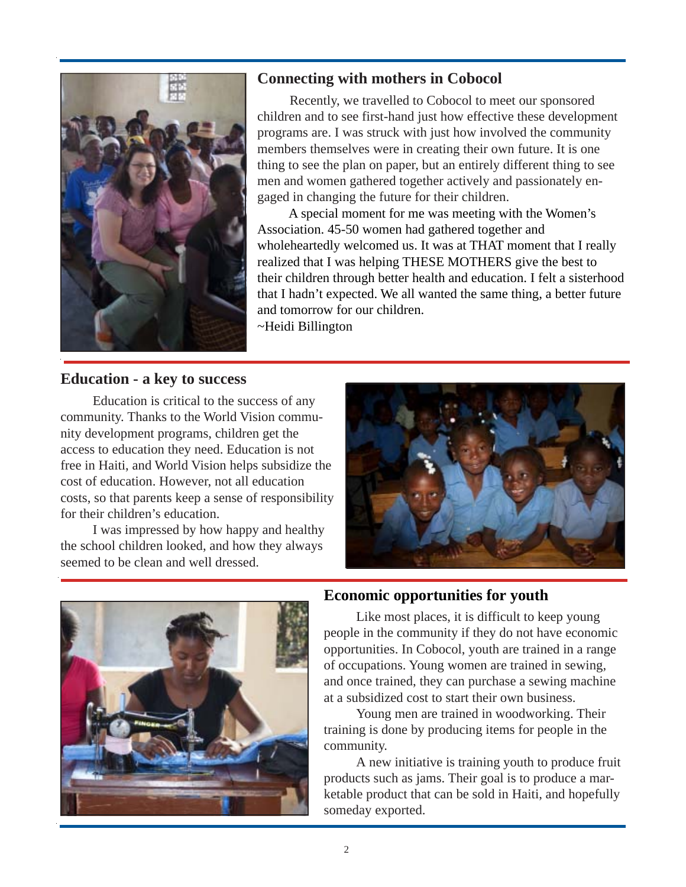

### **Connecting with mothers in Cobocol**

Recently, we travelled to Cobocol to meet our sponsored children and to see first-hand just how effective these development programs are. I was struck with just how involved the community members themselves were in creating their own future. It is one thing to see the plan on paper, but an entirely different thing to see men and women gathered together actively and passionately engaged in changing the future for their children.

A special moment for me was meeting with the Women's Association. 45-50 women had gathered together and wholeheartedly welcomed us. It was at THAT moment that I really realized that I was helping THESE MOTHERS give the best to their children through better health and education. I felt a sisterhood that I hadn't expected. We all wanted the same thing, a better future and tomorrow for our children.

~Heidi Billington

#### **Education - a key to success**

Education is critical to the success of any community. Thanks to the World Vision community development programs, children get the access to education they need. Education is not free in Haiti, and World Vision helps subsidize the cost of education. However, not all education costs, so that parents keep a sense of responsibility for their children's education.

I was impressed by how happy and healthy the school children looked, and how they always seemed to be clean and well dressed.





#### **Economic opportunities for youth**

Like most places, it is difficult to keep young people in the community if they do not have economic opportunities. In Cobocol, youth are trained in a range of occupations. Young women are trained in sewing, and once trained, they can purchase a sewing machine at a subsidized cost to start their own business.

Young men are trained in woodworking. Their training is done by producing items for people in the community.

A new initiative is training youth to produce fruit products such as jams. Their goal is to produce a marketable product that can be sold in Haiti, and hopefully someday exported.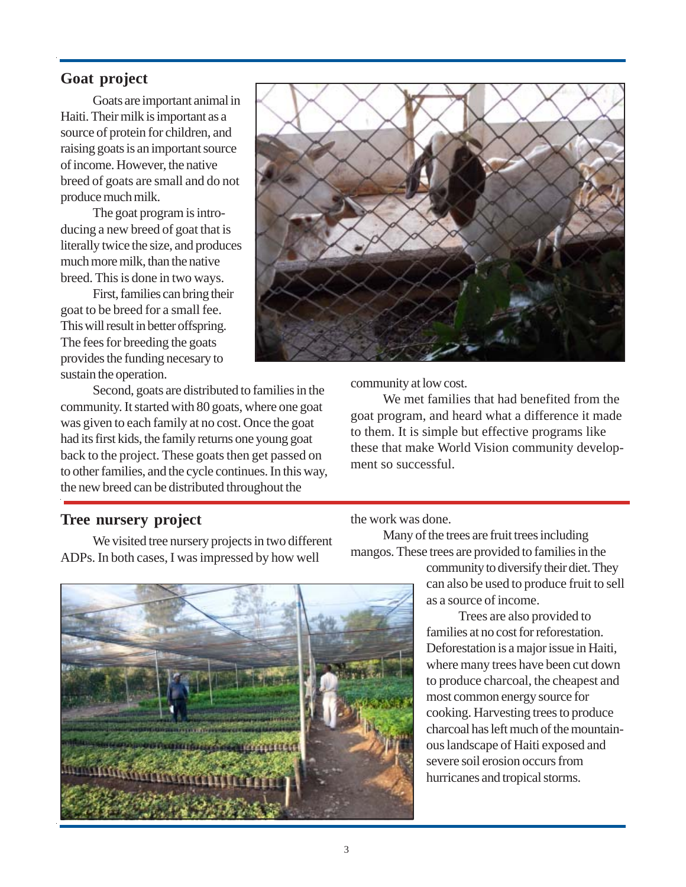#### **Goat project**

Goats are important animal in Haiti. Their milk is important as a source of protein for children, and raising goats is an important source of income. However, the native breed of goats are small and do not produce much milk.

The goat program is introducing a new breed of goat that is literally twice the size, and produces much more milk, than the native breed. This is done in two ways.

First, families can bring their goat to be breed for a small fee. This will result in better offspring. The fees for breeding the goats provides the funding necesary to sustain the operation.

Second, goats are distributed to families in the community. It started with 80 goats, where one goat was given to each family at no cost. Once the goat had its first kids, the family returns one young goat back to the project. These goats then get passed on to other families, and the cycle continues. In this way, the new breed can be distributed throughout the



community at low cost.

We met families that had benefited from the goat program, and heard what a difference it made to them. It is simple but effective programs like these that make World Vision community development so successful.

#### **Tree nursery project**

We visited tree nursery projects in two different ADPs. In both cases, I was impressed by how well



the work was done.

Many of the trees are fruit trees including mangos. These trees are provided to families in the

> community to diversify their diet. They can also be used to produce fruit to sell as a source of income.

Trees are also provided to families at no cost for reforestation. Deforestation is a major issue in Haiti, where many trees have been cut down to produce charcoal, the cheapest and most common energy source for cooking. Harvesting trees to produce charcoal has left much of the mountainous landscape of Haiti exposed and severe soil erosion occurs from hurricanes and tropical storms.